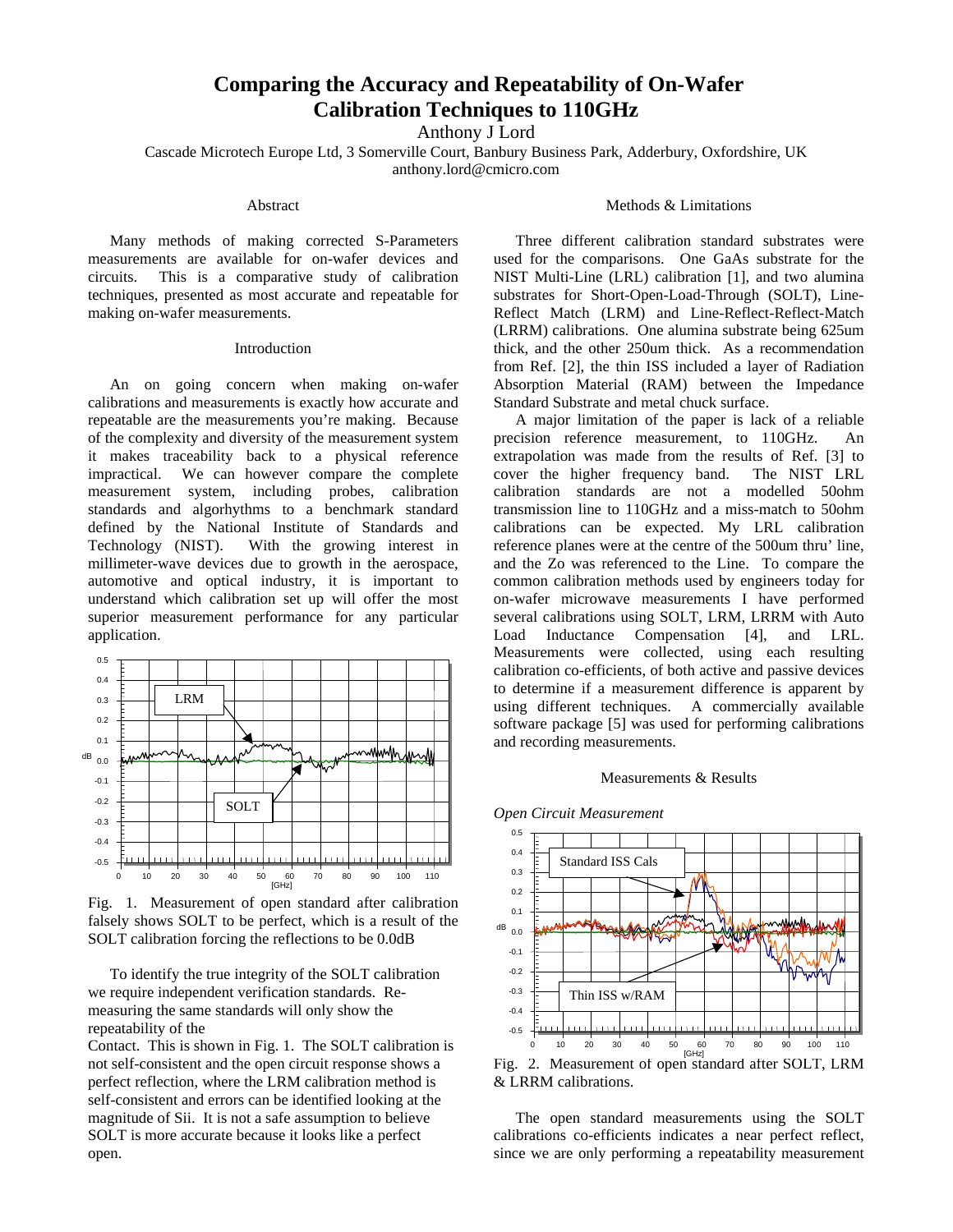# **Comparing the Accuracy and Repeatability of On-Wafer Calibration Techniques to 110GHz**

Anthony J Lord

Cascade Microtech Europe Ltd, 3 Somerville Court, Banbury Business Park, Adderbury, Oxfordshire, UK anthony.lord@cmicro.com

## Abstract

Many methods of making corrected S-Parameters measurements are available for on-wafer devices and circuits. This is a comparative study of calibration techniques, presented as most accurate and repeatable for making on-wafer measurements.

### Introduction

An on going concern when making on-wafer calibrations and measurements is exactly how accurate and repeatable are the measurements you're making. Because of the complexity and diversity of the measurement system it makes traceability back to a physical reference impractical. We can however compare the complete measurement system, including probes, calibration standards and algorhythms to a benchmark standard defined by the National Institute of Standards and Technology (NIST). With the growing interest in millimeter-wave devices due to growth in the aerospace, automotive and optical industry, it is important to understand which calibration set up will offer the most superior measurement performance for any particular application.



Fig. 1. Measurement of open standard after calibration falsely shows SOLT to be perfect, which is a result of the SOLT calibration forcing the reflections to be 0.0dB

To identify the true integrity of the SOLT calibration we require independent verification standards. Remeasuring the same standards will only show the repeatability of the

Contact. This is shown in Fig. 1. The SOLT calibration is not self-consistent and the open circuit response shows a perfect reflection, where the LRM calibration method is self-consistent and errors can be identified looking at the magnitude of Sii. It is not a safe assumption to believe SOLT is more accurate because it looks like a perfect open.

# Methods & Limitations

Three different calibration standard substrates were used for the comparisons. One GaAs substrate for the NIST Multi-Line (LRL) calibration [1], and two alumina substrates for Short-Open-Load-Through (SOLT), Line-Reflect Match (LRM) and Line-Reflect-Reflect-Match (LRRM) calibrations. One alumina substrate being 625um thick, and the other 250um thick. As a recommendation from Ref. [2], the thin ISS included a layer of Radiation Absorption Material (RAM) between the Impedance Standard Substrate and metal chuck surface.

A major limitation of the paper is lack of a reliable precision reference measurement, to 110GHz. An extrapolation was made from the results of Ref. [3] to cover the higher frequency band. The NIST LRL calibration standards are not a modelled 50ohm transmission line to 110GHz and a miss-match to 50ohm calibrations can be expected. My LRL calibration reference planes were at the centre of the 500um thru' line, and the Zo was referenced to the Line. To compare the common calibration methods used by engineers today for on-wafer microwave measurements I have performed several calibrations using SOLT, LRM, LRRM with Auto Load Inductance Compensation [4], and LRL. Measurements were collected, using each resulting calibration co-efficients, of both active and passive devices to determine if a measurement difference is apparent by using different techniques. A commercially available software package [5] was used for performing calibrations and recording measurements.

#### Measurements & Results



# Fig. 2. Measurement of open standard after SOLT, LRM & LRRM calibrations.

The open standard measurements using the SOLT calibrations co-efficients indicates a near perfect reflect, since we are only performing a repeatability measurement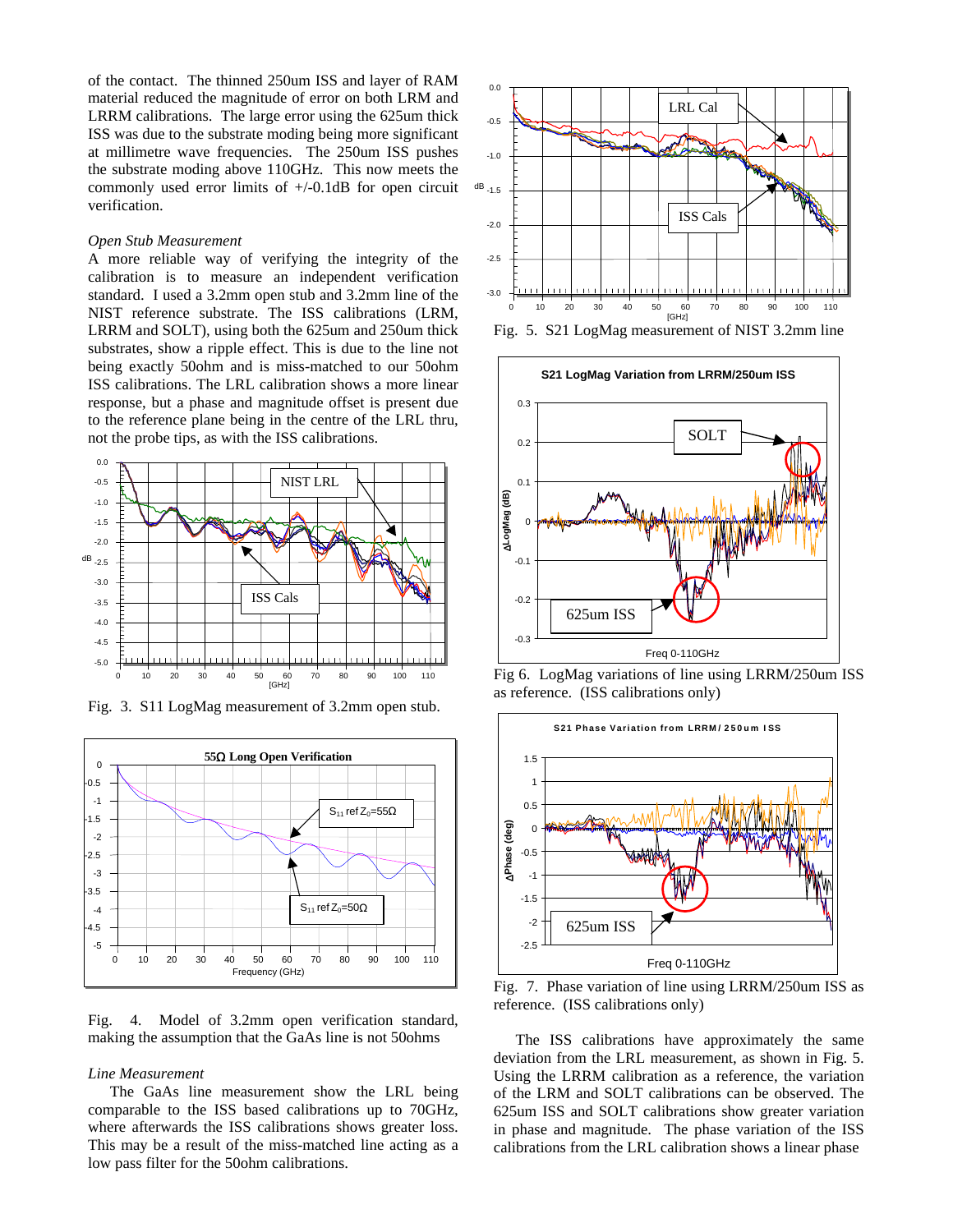of the contact. The thinned 250um ISS and layer of RAM material reduced the magnitude of error on both LRM and LRRM calibrations. The large error using the 625um thick ISS was due to the substrate moding being more significant at millimetre wave frequencies. The 250um ISS pushes the substrate moding above 110GHz. This now meets the commonly used error limits of  $+/-0.1$ dB for open circuit verification.

#### *Open Stub Measurement*

A more reliable way of verifying the integrity of the calibration is to measure an independent verification standard. I used a 3.2mm open stub and 3.2mm line of the NIST reference substrate. The ISS calibrations (LRM, LRRM and SOLT), using both the 625um and 250um thick substrates, show a ripple effect. This is due to the line not being exactly 50ohm and is miss-matched to our 50ohm ISS calibrations. The LRL calibration shows a more linear response, but a phase and magnitude offset is present due to the reference plane being in the centre of the LRL thru, not the probe tips, as with the ISS calibrations.



Fig. 3. S11 LogMag measurement of 3.2mm open stub.



Fig. 4. Model of 3.2mm open verification standard, making the assumption that the GaAs line is not 50ohms

#### *Line Measurement*

The GaAs line measurement show the LRL being comparable to the ISS based calibrations up to 70GHz, where afterwards the ISS calibrations shows greater loss. This may be a result of the miss-matched line acting as a low pass filter for the 50ohm calibrations.







Fig 6. LogMag variations of line using LRRM/250um ISS as reference. (ISS calibrations only)



Fig. 7. Phase variation of line using LRRM/250um ISS as reference. (ISS calibrations only)

The ISS calibrations have approximately the same deviation from the LRL measurement, as shown in Fig. 5. Using the LRRM calibration as a reference, the variation of the LRM and SOLT calibrations can be observed. The 625um ISS and SOLT calibrations show greater variation in phase and magnitude. The phase variation of the ISS calibrations from the LRL calibration shows a linear phase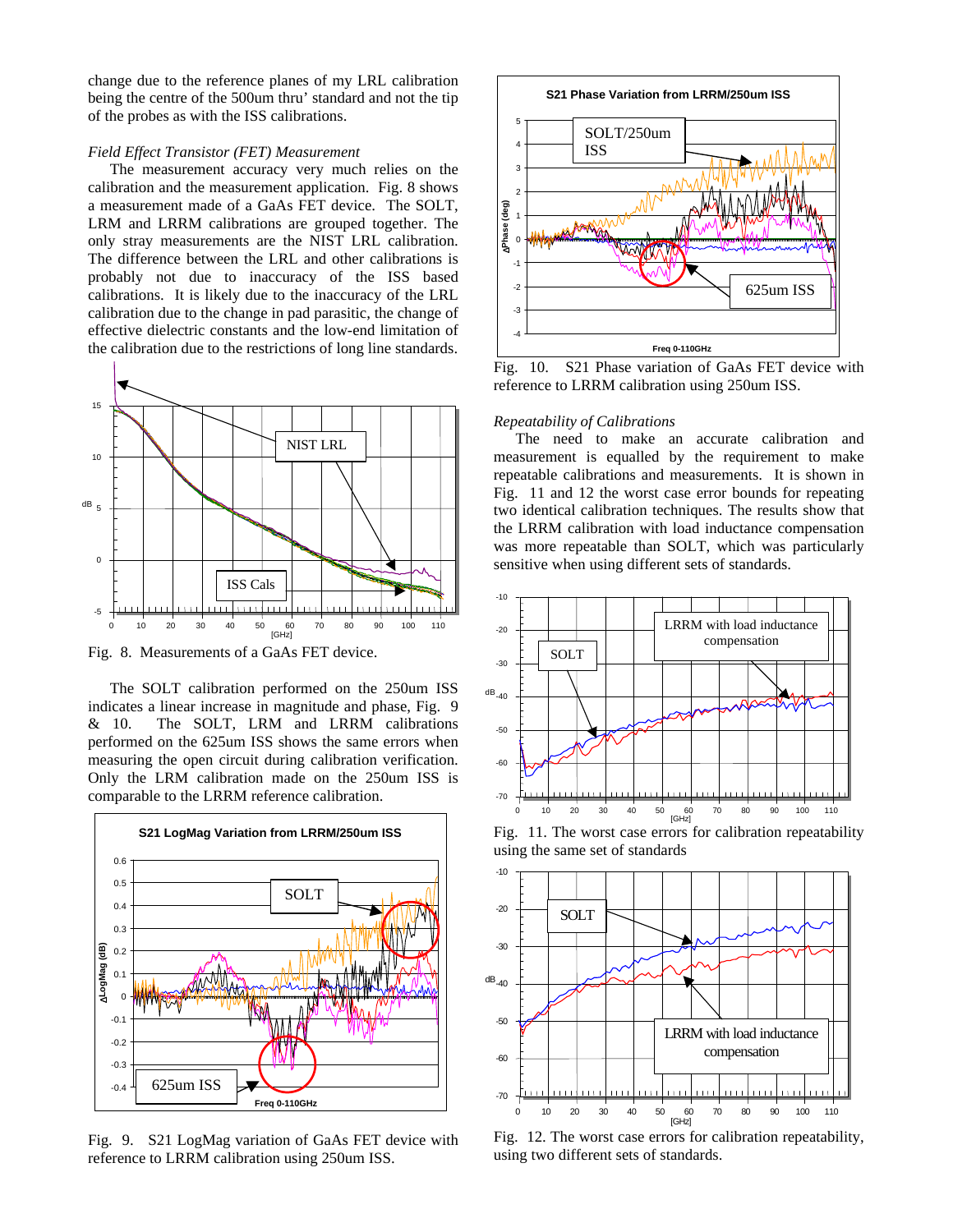change due to the reference planes of my LRL calibration being the centre of the 500um thru' standard and not the tip of the probes as with the ISS calibrations.

# *Field Effect Transistor (FET) Measurement*

The measurement accuracy very much relies on the calibration and the measurement application. Fig. 8 shows a measurement made of a GaAs FET device. The SOLT, LRM and LRRM calibrations are grouped together. The only stray measurements are the NIST LRL calibration. The difference between the LRL and other calibrations is probably not due to inaccuracy of the ISS based calibrations. It is likely due to the inaccuracy of the LRL calibration due to the change in pad parasitic, the change of effective dielectric constants and the low-end limitation of the calibration due to the restrictions of long line standards.



Fig. 8. Measurements of a GaAs FET device.

The SOLT calibration performed on the 250um ISS indicates a linear increase in magnitude and phase, Fig. 9 & 10. The SOLT, LRM and LRRM calibrations performed on the 625um ISS shows the same errors when measuring the open circuit during calibration verification. Only the LRM calibration made on the 250um ISS is comparable to the LRRM reference calibration.



Fig. 9. S21 LogMag variation of GaAs FET device with reference to LRRM calibration using 250um ISS.



Fig. 10. S21 Phase variation of GaAs FET device with reference to LRRM calibration using 250um ISS.

## *Repeatability of Calibrations*

The need to make an accurate calibration and measurement is equalled by the requirement to make repeatable calibrations and measurements. It is shown in Fig. 11 and 12 the worst case error bounds for repeating two identical calibration techniques. The results show that the LRRM calibration with load inductance compensation was more repeatable than SOLT, which was particularly sensitive when using different sets of standards.



Fig. 11. The worst case errors for calibration repeatability using the same set of standards



Fig. 12. The worst case errors for calibration repeatability, using two different sets of standards.